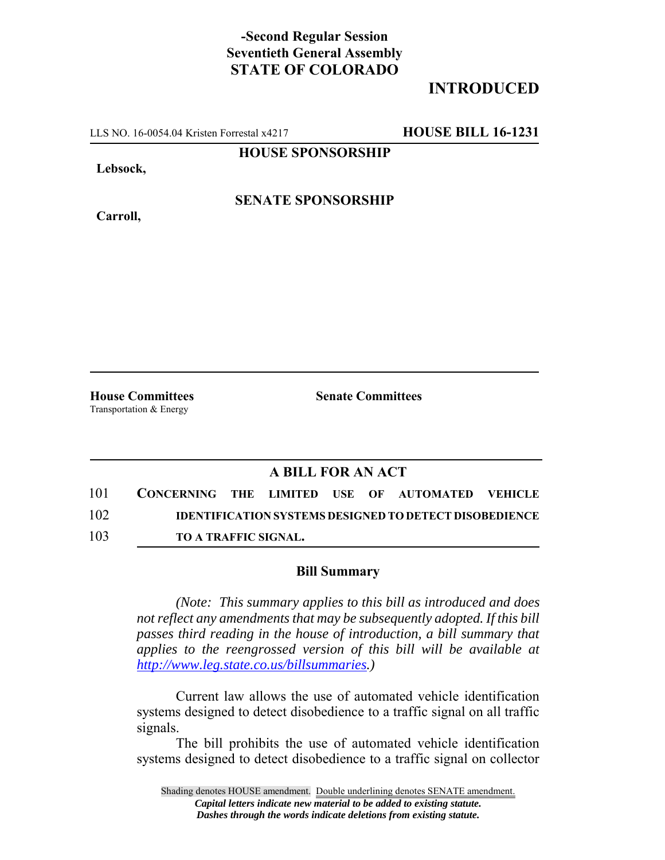## **-Second Regular Session Seventieth General Assembly STATE OF COLORADO**

## **INTRODUCED**

LLS NO. 16-0054.04 Kristen Forrestal x4217 **HOUSE BILL 16-1231**

**HOUSE SPONSORSHIP**

**Lebsock,**

**Carroll,**

**SENATE SPONSORSHIP**

Transportation & Energy

**House Committees Senate Committees**

## **A BILL FOR AN ACT**

| 101 | CONCERNING THE LIMITED USE OF AUTOMATED VEHICLE |  |  |                                                               |  |
|-----|-------------------------------------------------|--|--|---------------------------------------------------------------|--|
| 102 |                                                 |  |  | <b>IDENTIFICATION SYSTEMS DESIGNED TO DETECT DISOBEDIENCE</b> |  |
| 103 | <b>TO A TRAFFIC SIGNAL.</b>                     |  |  |                                                               |  |

## **Bill Summary**

*(Note: This summary applies to this bill as introduced and does not reflect any amendments that may be subsequently adopted. If this bill passes third reading in the house of introduction, a bill summary that applies to the reengrossed version of this bill will be available at http://www.leg.state.co.us/billsummaries.)*

Current law allows the use of automated vehicle identification systems designed to detect disobedience to a traffic signal on all traffic signals.

The bill prohibits the use of automated vehicle identification systems designed to detect disobedience to a traffic signal on collector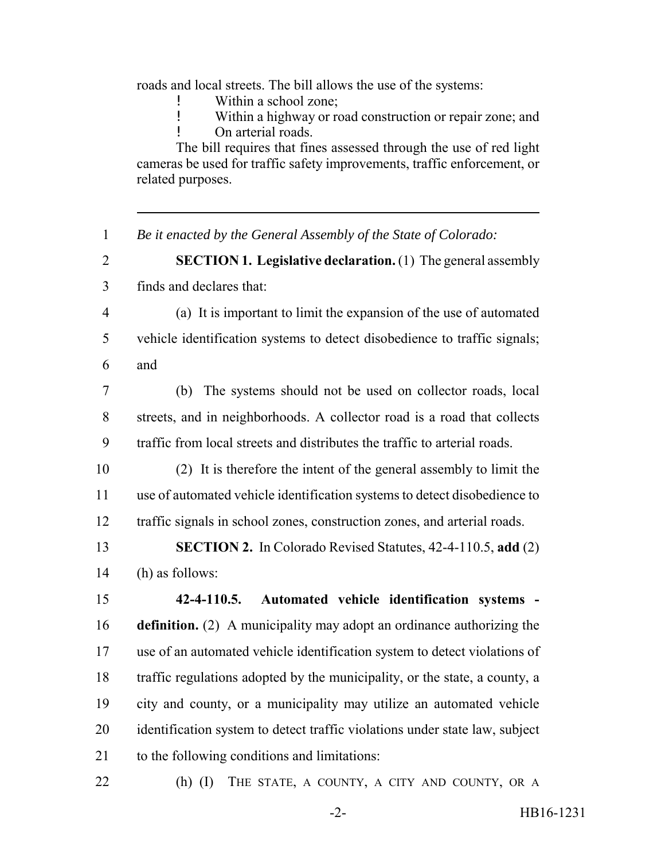roads and local streets. The bill allows the use of the systems:

- Within a school zone;
- ! Within a highway or road construction or repair zone; and ! On arterial roads.

The bill requires that fines assessed through the use of red light cameras be used for traffic safety improvements, traffic enforcement, or related purposes.

*Be it enacted by the General Assembly of the State of Colorado:*

 **SECTION 1. Legislative declaration.** (1) The general assembly finds and declares that:

- (a) It is important to limit the expansion of the use of automated vehicle identification systems to detect disobedience to traffic signals; and
- (b) The systems should not be used on collector roads, local streets, and in neighborhoods. A collector road is a road that collects traffic from local streets and distributes the traffic to arterial roads.
- (2) It is therefore the intent of the general assembly to limit the use of automated vehicle identification systems to detect disobedience to traffic signals in school zones, construction zones, and arterial roads.
- **SECTION 2.** In Colorado Revised Statutes, 42-4-110.5, **add** (2) (h) as follows:

 **42-4-110.5. Automated vehicle identification systems - definition.** (2) A municipality may adopt an ordinance authorizing the use of an automated vehicle identification system to detect violations of traffic regulations adopted by the municipality, or the state, a county, a city and county, or a municipality may utilize an automated vehicle identification system to detect traffic violations under state law, subject to the following conditions and limitations:

22 (h) (I) THE STATE, A COUNTY, A CITY AND COUNTY, OR A